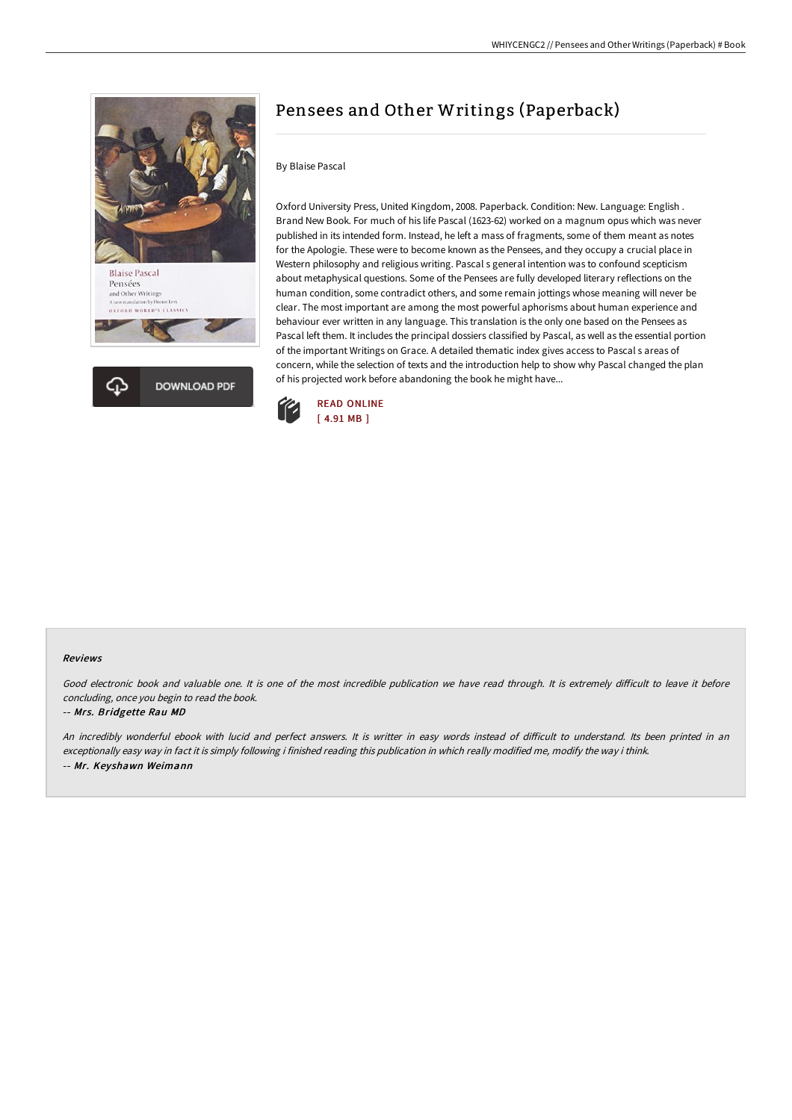



# Pensees and Other Writings (Paperback)

### By Blaise Pascal

Oxford University Press, United Kingdom, 2008. Paperback. Condition: New. Language: English . Brand New Book. For much of his life Pascal (1623-62) worked on a magnum opus which was never published in its intended form. Instead, he left a mass of fragments, some of them meant as notes for the Apologie. These were to become known as the Pensees, and they occupy a crucial place in Western philosophy and religious writing. Pascal s general intention was to confound scepticism about metaphysical questions. Some of the Pensees are fully developed literary reflections on the human condition, some contradict others, and some remain jottings whose meaning will never be clear. The most important are among the most powerful aphorisms about human experience and behaviour ever written in any language. This translation is the only one based on the Pensees as Pascal left them. It includes the principal dossiers classified by Pascal, as well as the essential portion of the important Writings on Grace. A detailed thematic index gives access to Pascal s areas of concern, while the selection of texts and the introduction help to show why Pascal changed the plan of his projected work before abandoning the book he might have...



#### Reviews

Good electronic book and valuable one. It is one of the most incredible publication we have read through. It is extremely difficult to leave it before concluding, once you begin to read the book.

#### -- Mrs. Bridgette Rau MD

An incredibly wonderful ebook with lucid and perfect answers. It is writter in easy words instead of difficult to understand. Its been printed in an exceptionally easy way in fact it is simply following i finished reading this publication in which really modified me, modify the way i think. -- Mr. Keyshawn Weimann